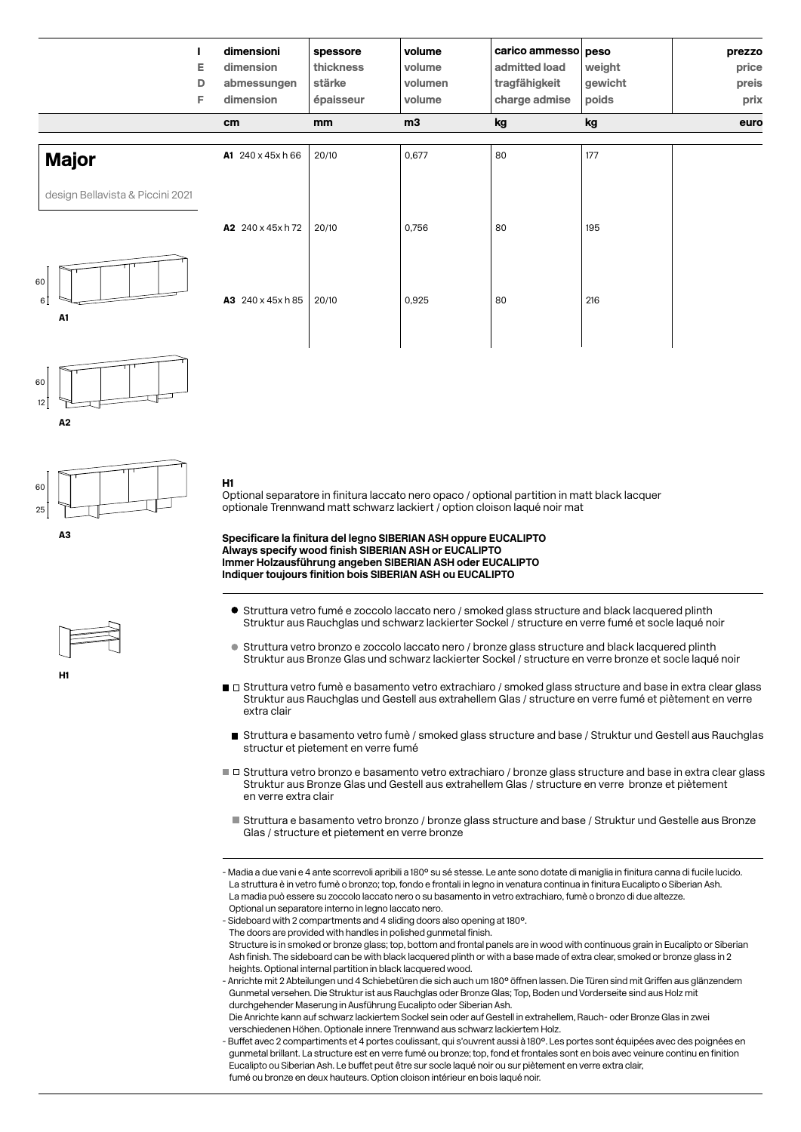|                                  | Е<br>D<br>F. | dimensioni<br>dimension<br>abmessungen<br>dimension | spessore<br>thickness<br>stärke<br>épaisseur | volume<br>volume<br>volumen<br>volume | carico ammesso peso<br>admitted load<br>tragfähigkeit<br>charge admise | weight<br>gewicht<br>poids | prezzo<br>price<br>preis<br>prix |
|----------------------------------|--------------|-----------------------------------------------------|----------------------------------------------|---------------------------------------|------------------------------------------------------------------------|----------------------------|----------------------------------|
|                                  |              | cm                                                  | mm                                           | m3                                    | kg                                                                     | kg                         | euro                             |
| <b>Major</b>                     |              | A1 240 x 45x h 66                                   | 20/10                                        | 0,677                                 | 80                                                                     | 177                        |                                  |
| design Bellavista & Piccini 2021 |              |                                                     |                                              |                                       |                                                                        |                            |                                  |
|                                  |              | A2 240 x 45x h 72                                   | 20/10                                        | 0,756                                 | 80                                                                     | 195                        |                                  |
| 60<br>6 <sup>1</sup><br>A1       |              | A3 240 x 45x h 85                                   | 20/10                                        | 0,925                                 | 80                                                                     | 216                        |                                  |





H1





Optional separatore in finitura laccato nero opaco / optional partition in matt black lacquer optionale Trennwand matt schwarz lackiert / option cloison laqué noir mat

**Specificare la finitura del legno SIBERIAN ASH oppure EUCALIPTO Always specify wood finish SIBERIAN ASH or EUCALIPTO Immer Holzausführung angeben SIBERIAN ASH oder EUCALIPTO Indiquer toujours finition bois SIBERIAN ASH ou EUCALIPTO**

- Struttura vetro fumé e zoccolo laccato nero / smoked glass structure and black lacquered plinth Struktur aus Rauchglas und schwarz lackierter Sockel / structure en verre fumé et socle laqué noir
- Struttura vetro bronzo e zoccolo laccato nero / bronze glass structure and black lacquered plinth Struktur aus Bronze Glas und schwarz lackierter Sockel / structure en verre bronze et socle laqué noir
- $\blacksquare$  Struttura vetro fumè e basamento vetro extrachiaro / smoked glass structure and base in extra clear glass Struktur aus Rauchglas und Gestell aus extrahellem Glas / structure en verre fumé et piètement en verre extra clair
- Struttura e basamento vetro fumè / smoked glass structure and base / Struktur und Gestell aus Rauchglas structur et pietement en verre fumé
- Struttura vetro bronzo e basamento vetro extrachiaro / bronze glass structure and base in extra clear glass Struktur aus Bronze Glas und Gestell aus extrahellem Glas / structure en verre bronze et piètement en verre extra clair
- Struttura e basamento vetro bronzo / bronze glass structure and base / Struktur und Gestelle aus Bronze Glas / structure et pietement en verre bronze

- Madia a due vani e 4 ante scorrevoli apribili a 180° su sé stesse. Le ante sono dotate di maniglia in finitura canna di fucile lucido. La struttura è in vetro fumè o bronzo; top, fondo e frontali in legno in venatura continua in finitura Eucalipto o Siberian Ash. La madia può essere su zoccolo laccato nero o su basamento in vetro extrachiaro, fumè o bronzo di due altezze. Optional un separatore interno in legno laccato nero.

- Sideboard with 2 compartments and 4 sliding doors also opening at 180°.

The doors are provided with handles in polished gunmetal finish.

 Structure is in smoked or bronze glass; top, bottom and frontal panels are in wood with continuous grain in Eucalipto or Siberian Ash finish. The sideboard can be with black lacquered plinth or with a base made of extra clear, smoked or bronze glass in 2 heights. Optional internal partition in black lacquered wood.

- Anrichte mit 2 Abteilungen und 4 Schiebetüren die sich auch um 180° öffnen lassen. Die Türen sind mit Griffen aus glänzendem Gunmetal versehen. Die Struktur ist aus Rauchglas oder Bronze Glas; Top, Boden und Vorderseite sind aus Holz mit durchgehender Maserung in Ausführung Eucalipto oder Siberian Ash.

 Die Anrichte kann auf schwarz lackiertem Sockel sein oder auf Gestell in extrahellem, Rauch- oder Bronze Glas in zwei verschiedenen Höhen. Optionale innere Trennwand aus schwarz lackiertem Holz.

- Buffet avec 2 compartiments et 4 portes coulissant, qui s'ouvrent aussi à 180°. Les portes sont équipées avec des poignées en gunmetal brillant. La structure est en verre fumé ou bronze; top, fond et frontales sont en bois avec veinure continu en finition Eucalipto ou Siberian Ash. Le buffet peut être sur socle laqué noir ou sur piètement en verre extra clair, fumé ou bronze en deux hauteurs. Option cloison intérieur en bois laqué noir.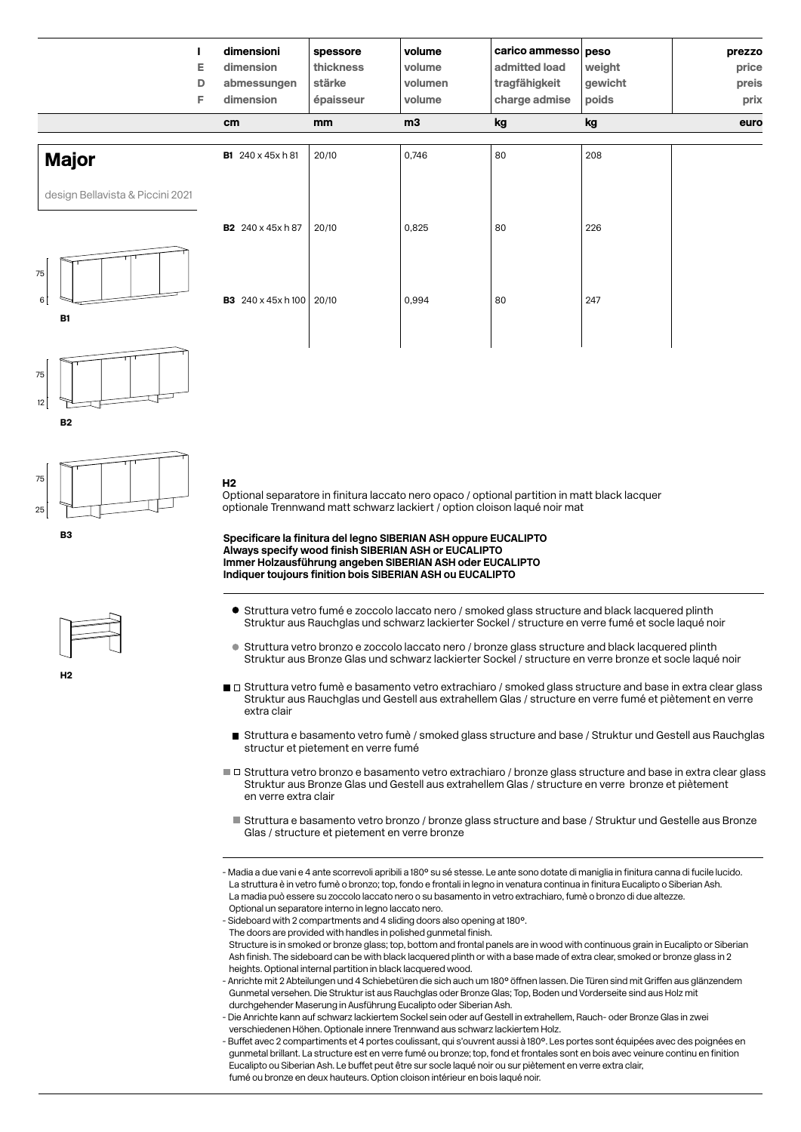| dimensioni<br>dimension<br>abmessungen<br>dimension | spessore<br>thickness<br>stärke<br>épaisseur | volume<br>volume<br>volumen<br>volume | admitted load<br>tragfähigkeit<br>charge admise | weight<br>gewicht<br>poids | prezzo<br>price<br>preis<br>prix |
|-----------------------------------------------------|----------------------------------------------|---------------------------------------|-------------------------------------------------|----------------------------|----------------------------------|
| cm                                                  | mm                                           | m3                                    | kg                                              | kg                         | euro                             |
| <b>B1</b> 240 x 45x h 81                            | 20/10                                        | 0,746                                 | 80                                              | 208                        |                                  |
|                                                     |                                              |                                       |                                                 |                            |                                  |
| <b>B2</b> 240 x 45x h 87                            | 20/10                                        | 0,825                                 | 80                                              | 226                        |                                  |
|                                                     | 20/10                                        | 0,994                                 | 80                                              | 247                        |                                  |
|                                                     |                                              | <b>B3</b> 240 x 45x h 100             |                                                 |                            | carico ammesso peso              |











Optional separatore in finitura laccato nero opaco / optional partition in matt black lacquer optionale Trennwand matt schwarz lackiert / option cloison laqué noir mat

**Specificare la finitura del legno SIBERIAN ASH oppure EUCALIPTO Always specify wood finish SIBERIAN ASH or EUCALIPTO Immer Holzausführung angeben SIBERIAN ASH oder EUCALIPTO Indiquer toujours finition bois SIBERIAN ASH ou EUCALIPTO**

- Struttura vetro fumé e zoccolo laccato nero / smoked glass structure and black lacquered plinth Struktur aus Rauchglas und schwarz lackierter Sockel / structure en verre fumé et socle laqué noir
- Struttura vetro bronzo e zoccolo laccato nero / bronze glass structure and black lacquered plinth  $\blacksquare$ Struktur aus Bronze Glas und schwarz lackierter Sockel / structure en verre bronze et socle laqué noir
- $\blacksquare$   $\Box$  Struttura vetro fumè e basamento vetro extrachiaro / smoked glass structure and base in extra clear glass Struktur aus Rauchglas und Gestell aus extrahellem Glas / structure en verre fumé et piètement en verre extra clair
- Struttura e basamento vetro fumè / smoked glass structure and base / Struktur und Gestell aus Rauchglas structur et pietement en verre fumé
- Struttura vetro bronzo e basamento vetro extrachiaro / bronze glass structure and base in extra clear glass Struktur aus Bronze Glas und Gestell aus extrahellem Glas / structure en verre bronze et piètement en verre extra clair
	- Struttura e basamento vetro bronzo / bronze glass structure and base / Struktur und Gestelle aus Bronze Glas / structure et pietement en verre bronze
- Madia a due vani e 4 ante scorrevoli apribili a 180° su sé stesse. Le ante sono dotate di maniglia in finitura canna di fucile lucido. La struttura è in vetro fumè o bronzo; top, fondo e frontali in legno in venatura continua in finitura Eucalipto o Siberian Ash. La madia può essere su zoccolo laccato nero o su basamento in vetro extrachiaro, fumè o bronzo di due altezze. Optional un separatore interno in legno laccato nero.
- Sideboard with 2 compartments and 4 sliding doors also opening at 180°.
- The doors are provided with handles in polished gunmetal finish.

 Structure is in smoked or bronze glass; top, bottom and frontal panels are in wood with continuous grain in Eucalipto or Siberian Ash finish. The sideboard can be with black lacquered plinth or with a base made of extra clear, smoked or bronze glass in 2 heights. Optional internal partition in black lacquered wood.

- Anrichte mit 2 Abteilungen und 4 Schiebetüren die sich auch um 180° öffnen lassen. Die Türen sind mit Griffen aus glänzendem Gunmetal versehen. Die Struktur ist aus Rauchglas oder Bronze Glas; Top, Boden und Vorderseite sind aus Holz mit durchgehender Maserung in Ausführung Eucalipto oder Siberian Ash.
- Die Anrichte kann auf schwarz lackiertem Sockel sein oder auf Gestell in extrahellem, Rauch- oder Bronze Glas in zwei verschiedenen Höhen. Optionale innere Trennwand aus schwarz lackiertem Holz.

- Buffet avec 2 compartiments et 4 portes coulissant, qui s'ouvrent aussi à 180°. Les portes sont équipées avec des poignées en gunmetal brillant. La structure est en verre fumé ou bronze; top, fond et frontales sont en bois avec veinure continu en finition Eucalipto ou Siberian Ash. Le buffet peut être sur socle laqué noir ou sur piètement en verre extra clair, fumé ou bronze en deux hauteurs. Option cloison intérieur en bois laqué noir.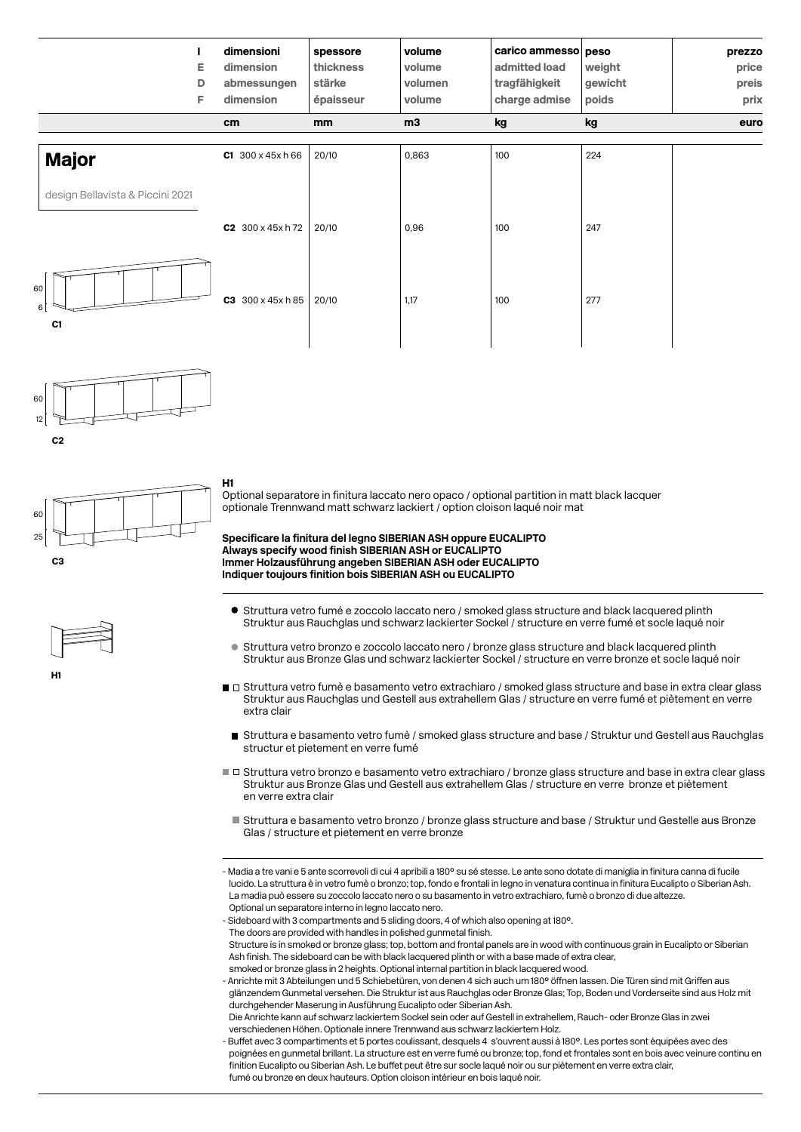|                                  | Е<br>D<br>F. | dimensioni<br>dimension<br>abmessungen<br>dimension | spessore<br>thickness<br>stärke<br>épaisseur | volume<br>volume<br>volumen<br>volume | carico ammesso peso<br>admitted load<br>tragfähigkeit<br>charge admise | weight<br>gewicht<br>poids | prezzo<br>price<br>preis<br>prix |
|----------------------------------|--------------|-----------------------------------------------------|----------------------------------------------|---------------------------------------|------------------------------------------------------------------------|----------------------------|----------------------------------|
|                                  |              | cm                                                  | <sub>mm</sub>                                | m3                                    | kg                                                                     | kg                         | euro                             |
| <b>Major</b>                     |              | $C1$ 300 x 45x h 66                                 | 20/10                                        | 0,863                                 | 100                                                                    | 224                        |                                  |
| design Bellavista & Piccini 2021 |              |                                                     |                                              |                                       |                                                                        |                            |                                  |
|                                  |              | $C2$ 300 x 45x h 72                                 | 20/10                                        | 0,96                                  | 100                                                                    | 247                        |                                  |
| 60<br>$6\vert$<br>C1             |              | 300 x 45x h 85<br>C3                                | 20/10                                        | 1,17                                  | 100                                                                    | 277                        |                                  |



C3 60 25

H1





Optional separatore in finitura laccato nero opaco / optional partition in matt black lacquer optionale Trennwand matt schwarz lackiert / option cloison laqué noir mat

**Specificare la finitura del legno SIBERIAN ASH oppure EUCALIPTO Always specify wood finish SIBERIAN ASH or EUCALIPTO Immer Holzausführung angeben SIBERIAN ASH oder EUCALIPTO Indiquer toujours finition bois SIBERIAN ASH ou EUCALIPTO**

- Struttura vetro fumé e zoccolo laccato nero / smoked glass structure and black lacquered plinth Struktur aus Rauchglas und schwarz lackierter Sockel / structure en verre fumé et socle laqué noir
- Struttura vetro bronzo e zoccolo laccato nero / bronze glass structure and black lacquered plinth Struktur aus Bronze Glas und schwarz lackierter Sockel / structure en verre bronze et socle laqué noir
- $\blacksquare$  Struttura vetro fumè e basamento vetro extrachiaro / smoked glass structure and base in extra clear glass Struktur aus Rauchglas und Gestell aus extrahellem Glas / structure en verre fumé et piètement en verre extra clair
- Struttura e basamento vetro fumè / smoked glass structure and base / Struktur und Gestell aus Rauchglas structur et pietement en verre fumé
- Struttura vetro bronzo e basamento vetro extrachiaro / bronze glass structure and base in extra clear glass Struktur aus Bronze Glas und Gestell aus extrahellem Glas / structure en verre bronze et piètement en verre extra clair
	- Struttura e basamento vetro bronzo / bronze glass structure and base / Struktur und Gestelle aus Bronze Glas / structure et pietement en verre bronze

- Madia a tre vani e 5 ante scorrevoli di cui 4 apribili a 180° su sé stesse. Le ante sono dotate di maniglia in finitura canna di fucile lucido. La struttura è in vetro fumè o bronzo; top, fondo e frontali in legno in venatura continua in finitura Eucalipto o Siberian Ash. La madia può essere su zoccolo laccato nero o su basamento in vetro extrachiaro, fumè o bronzo di due altezze. Optional un separatore interno in legno laccato nero.

- Sideboard with 3 compartments and 5 sliding doors, 4 of which also opening at 180°. The doors are provided with handles in polished gunmetal finish. Structure is in smoked or bronze glass; top, bottom and frontal panels are in wood with continuous grain in Eucalipto or Siberian Ash finish. The sideboard can be with black lacquered plinth or with a base made of extra clear smoked or bronze glass in 2 heights. Optional internal partition in black lacquered wood.

- Anrichte mit 3 Abteilungen und 5 Schiebetüren, von denen 4 sich auch um 180° öffnen lassen. Die Türen sind mit Griffen aus glänzendem Gunmetal versehen. Die Struktur ist aus Rauchglas oder Bronze Glas; Top, Boden und Vorderseite sind aus Holz mit durchgehender Maserung in Ausführung Eucalipto oder Siberian Ash.

 Die Anrichte kann auf schwarz lackiertem Sockel sein oder auf Gestell in extrahellem, Rauch- oder Bronze Glas in zwei verschiedenen Höhen. Optionale innere Trennwand aus schwarz lackiertem Holz.

- Buffet avec 3 compartiments et 5 portes coulissant, desquels 4 s'ouvrent aussi à 180°. Les portes sont équipées avec des poignées en gunmetal brillant. La structure est en verre fumé ou bronze ; top, fond et frontales sont en bois avec veinure continu en finition Eucalipto ou Siberian Ash. Le buffet peut être sur socle laqué noir ou sur piètement en verre extra clair, fumé ou bronze en deux hauteurs. Option cloison intérieur en bois laqué noir.